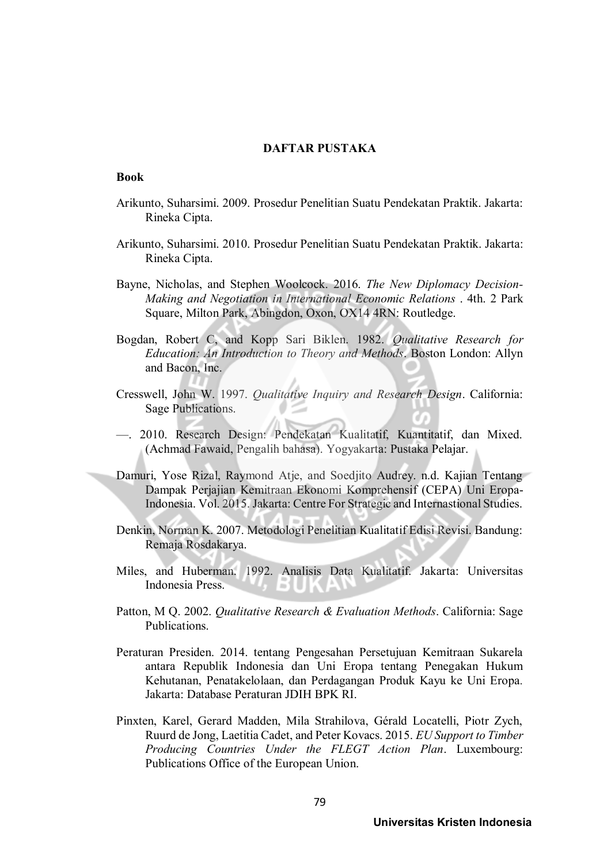# **DAFTAR PUSTAKA**

# **Book**

- Arikunto, Suharsimi. 2009. Prosedur Penelitian Suatu Pendekatan Praktik. Jakarta: Rineka Cipta.
- Arikunto, Suharsimi. 2010. Prosedur Penelitian Suatu Pendekatan Praktik. Jakarta: Rineka Cipta.
- Bayne, Nicholas, and Stephen Woolcock. 2016. *The New Diplomacy Decision-Making and Negotiation in International Economic Relations* . 4th. 2 Park Square, Milton Park, Abingdon, Oxon, OX14 4RN: Routledge.
- Bogdan, Robert C, and Kopp Sari Biklen. 1982. *Qualitative Research for Education: An Introduction to Theory and Methods*. Boston London: Allyn and Bacon, Inc.
- Cresswell, John W. 1997. *Qualitative Inquiry and Research Design*. California: Sage Publications.
- —. 2010. Research Design: Pendekatan Kualitatif, Kuantitatif, dan Mixed. (Achmad Fawaid, Pengalih bahasa). Yogyakarta: Pustaka Pelajar.
- Damuri, Yose Rizal, Raymond Atje, and Soedjito Audrey. n.d. Kajian Tentang Dampak Perjajian Kemitraan Ekonomi Komprehensif (CEPA) Uni Eropa-Indonesia. Vol. 2015. Jakarta: Centre For Strategic and Internastional Studies.
- Denkin, Norman K. 2007. Metodologi Penelitian Kualitatif Edisi Revisi. Bandung: Remaja Rosdakarya.
- Miles, and Huberman. 1992. Analisis Data Kualitatif. Jakarta: Universitas Indonesia Press. ÷
- Patton, M Q. 2002. *Qualitative Research & Evaluation Methods*. California: Sage Publications.
- Peraturan Presiden. 2014. tentang Pengesahan Persetujuan Kemitraan Sukarela antara Republik Indonesia dan Uni Eropa tentang Penegakan Hukum Kehutanan, Penatakelolaan, dan Perdagangan Produk Kayu ke Uni Eropa*.* Jakarta: Database Peraturan JDIH BPK RI.
- Pinxten, Karel, Gerard Madden, Mila Strahilova, Gérald Locatelli, Piotr Zych, Ruurd de Jong, Laetitia Cadet, and Peter Kovacs. 2015. *EU Support to Timber Producing Countries Under the FLEGT Action Plan*. Luxembourg: Publications Office of the European Union.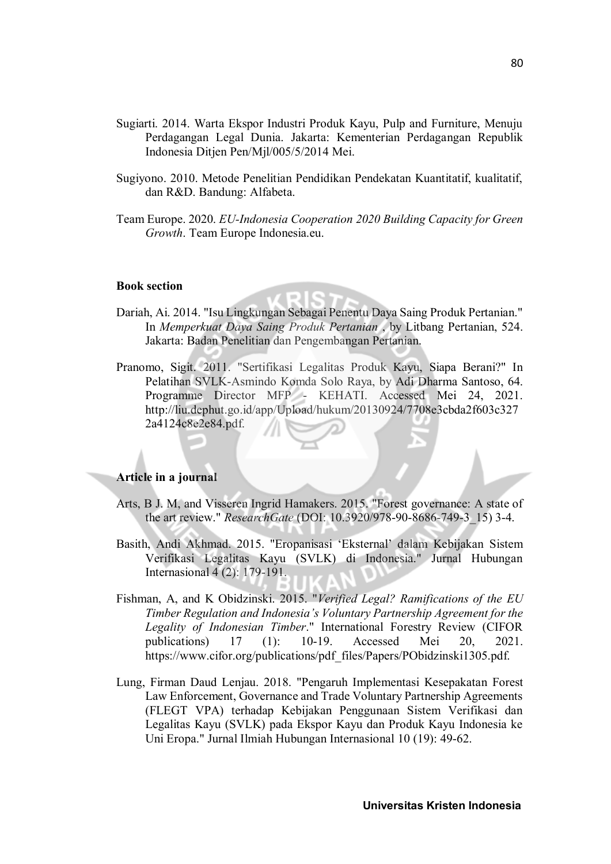- Sugiarti. 2014. Warta Ekspor Industri Produk Kayu, Pulp and Furniture, Menuju Perdagangan Legal Dunia. Jakarta: Kementerian Perdagangan Republik Indonesia Ditjen Pen/Mjl/005/5/2014 Mei.
- Sugiyono. 2010. Metode Penelitian Pendidikan Pendekatan Kuantitatif, kualitatif, dan R&D. Bandung: Alfabeta.
- Team Europe. 2020. *EU-Indonesia Cooperation 2020 Building Capacity for Green Growth*. Team Europe Indonesia.eu.

## **Book section**

- Dariah, Ai. 2014. "Isu Lingkungan Sebagai Penentu Daya Saing Produk Pertanian." In *Memperkuat Daya Saing Produk Pertanian* , by Litbang Pertanian, 524. Jakarta: Badan Penelitian dan Pengembangan Pertanian.
- Pranomo, Sigit. 2011. "Sertifikasi Legalitas Produk Kayu, Siapa Berani?" In Pelatihan SVLK-Asmindo Komda Solo Raya, by Adi Dharma Santoso, 64. Programme Director MFP - KEHATI. Accessed Mei 24, 2021. http://liu.dephut.go.id/app/Upload/hukum/20130924/7708e3cbda2f603c327 2a4124c8e2e84.pdf.

# **Article in a journal**

- Arts, B J. M, and Visseren Ingrid Hamakers. 2015. "Forest governance: A state of the art review." *ResearchGate* (DOI: 10.3920/978-90-8686-749-3\_15) 3-4.
- Basith, Andi Akhmad. 2015. "Eropanisasi 'Eksternal' dalam Kebijakan Sistem Verifikasi Legalitas Kayu (SVLK) di Indonesia." Jurnal Hubungan Internasional 4 (2): 179-191.
- Fishman, A, and K Obidzinski. 2015. "*Verified Legal? Ramifications of the EU Timber Regulation and Indonesia's Voluntary Partnership Agreement for the Legality of Indonesian Timber*." International Forestry Review (CIFOR publications) 17 (1): 10-19. Accessed Mei 20, 2021. https://www.cifor.org/publications/pdf\_files/Papers/PObidzinski1305.pdf.
- Lung, Firman Daud Lenjau. 2018. "Pengaruh Implementasi Kesepakatan Forest Law Enforcement, Governance and Trade Voluntary Partnership Agreements (FLEGT VPA) terhadap Kebijakan Penggunaan Sistem Verifikasi dan Legalitas Kayu (SVLK) pada Ekspor Kayu dan Produk Kayu Indonesia ke Uni Eropa." Jurnal Ilmiah Hubungan Internasional 10 (19): 49-62.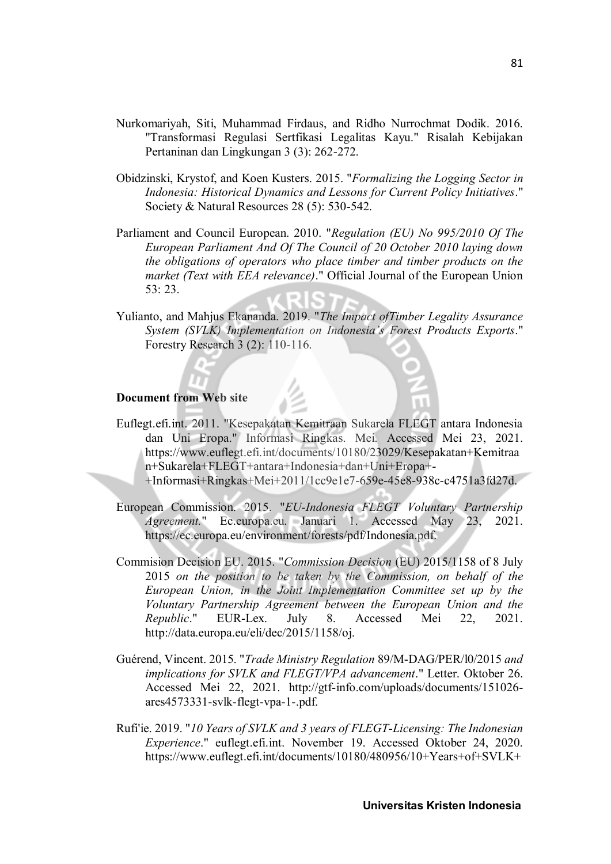- Nurkomariyah, Siti, Muhammad Firdaus, and Ridho Nurrochmat Dodik. 2016. "Transformasi Regulasi Sertfikasi Legalitas Kayu." Risalah Kebijakan Pertaninan dan Lingkungan 3 (3): 262-272.
- Obidzinski, Krystof, and Koen Kusters. 2015. "*Formalizing the Logging Sector in Indonesia: Historical Dynamics and Lessons for Current Policy Initiatives*." Society & Natural Resources 28 (5): 530-542.
- Parliament and Council European. 2010. "*Regulation (EU) No 995/2010 Of The European Parliament And Of The Council of 20 October 2010 laying down the obligations of operators who place timber and timber products on the market (Text with EEA relevance)*." Official Journal of the European Union 53: 23.
- Yulianto, and Mahjus Ekananda. 2019. "*The Impact ofTimber Legality Assurance System (SVLK) Implementation on Indonesia's Forest Products Exports*." Forestry Research 3 (2): 110-116.

# **Document from Web site**

- Euflegt.efi.int. 2011. "Kesepakatan Kemitraan Sukarela FLEGT antara Indonesia dan Uni Eropa." Informasi Ringkas. Mei. Accessed Mei 23, 2021. https://www.euflegt.efi.int/documents/10180/23029/Kesepakatan+Kemitraa n+Sukarela+FLEGT+antara+Indonesia+dan+Uni+Eropa+- +Informasi+Ringkas+Mei+2011/1cc9e1e7-659e-45e8-938c-c4751a3fd27d.
- European Commission. 2015. "*EU-Indonesia FLEGT Voluntary Partnership Agreement.*" Ec.europa.eu. Januari 1. Accessed May 23, 2021. https://ec.europa.eu/environment/forests/pdf/Indonesia.pdf.
- Commision Decision EU. 2015. "*Commission Decision* (EU) 2015/1158 of 8 July 2015 *on the position to be taken by the Commission, on behalf of the European Union, in the Joint Implementation Committee set up by the Voluntary Partnership Agreement between the European Union and the Republic*." EUR-Lex. July 8. Accessed Mei 22, 2021. http://data.europa.eu/eli/dec/2015/1158/oj.
- Guérend, Vincent. 2015. "*Trade Ministry Regulation* 89/M-DAG/PER/l0/2015 *and implications for SVLK and FLEGT/VPA advancement*." Letter. Oktober 26. Accessed Mei 22, 2021. http://gtf-info.com/uploads/documents/151026 ares4573331-svlk-flegt-vpa-1-.pdf.
- Rufi'ie. 2019. "*10 Years of SVLK and 3 years of FLEGT-Licensing: The Indonesian Experience*." euflegt.efi.int. November 19. Accessed Oktober 24, 2020. https://www.euflegt.efi.int/documents/10180/480956/10+Years+of+SVLK+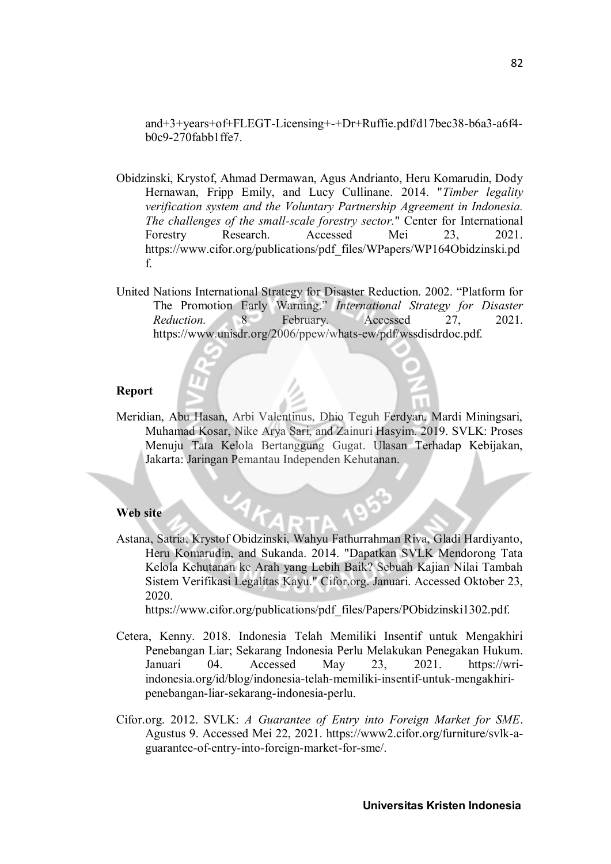and+3+years+of+FLEGT-Licensing+-+Dr+Ruffie.pdf/d17bec38-b6a3-a6f4 b0c9-270fabb1ffe7.

- Obidzinski, Krystof, Ahmad Dermawan, Agus Andrianto, Heru Komarudin, Dody Hernawan, Fripp Emily, and Lucy Cullinane. 2014. "*Timber legality verification system and the Voluntary Partnership Agreement in Indonesia. The challenges of the small-scale forestry sector.*" Center for International Forestry Research. Accessed Mei 23, 2021. https://www.cifor.org/publications/pdf\_files/WPapers/WP164Obidzinski.pd f.
- United Nations International Strategy for Disaster Reduction. 2002. "Platform for The Promotion Early Warning." *International Strategy for Disaster Reduction.* 8 February. Accessed 27, 2021. https://www.unisdr.org/2006/ppew/whats-ew/pdf/wssdisdrdoc.pdf.

#### **Report**

Meridian, Abu Hasan, Arbi Valentinus, Dhio Teguh Ferdyan, Mardi Miningsari, Muhamad Kosar, Nike Arya Sari, and Zainuri Hasyim. 2019. SVLK: Proses Menuju Tata Kelola Bertanggung Gugat. Ulasan Terhadap Kebijakan, Jakarta: Jaringan Pemantau Independen Kehutanan.

#### **Web site**

Astana, Satria, Krystof Obidzinski, Wahyu Fathurrahman Riva, Gladi Hardiyanto, Heru Komarudin, and Sukanda. 2014. "Dapatkan SVLK Mendorong Tata Kelola Kehutanan ke Arah yang Lebih Baik? Sebuah Kajian Nilai Tambah Sistem Verifikasi Legalitas Kayu." Cifor.org. Januari. Accessed Oktober 23, 2020.

https://www.cifor.org/publications/pdf\_files/Papers/PObidzinski1302.pdf.

- Cetera, Kenny. 2018. Indonesia Telah Memiliki Insentif untuk Mengakhiri Penebangan Liar; Sekarang Indonesia Perlu Melakukan Penegakan Hukum. Januari 04. Accessed May 23, 2021. https://wriindonesia.org/id/blog/indonesia-telah-memiliki-insentif-untuk-mengakhiripenebangan-liar-sekarang-indonesia-perlu.
- Cifor.org. 2012. SVLK: *A Guarantee of Entry into Foreign Market for SME*. Agustus 9. Accessed Mei 22, 2021. https://www2.cifor.org/furniture/svlk-aguarantee-of-entry-into-foreign-market-for-sme/.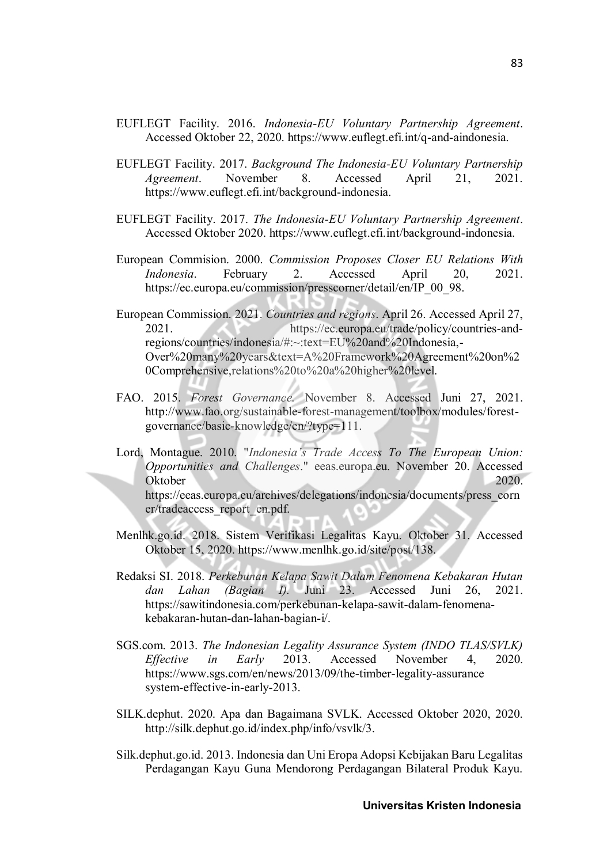- EUFLEGT Facility. 2016. *Indonesia-EU Voluntary Partnership Agreement*. Accessed Oktober 22, 2020. https://www.euflegt.efi.int/q-and-aindonesia.
- EUFLEGT Facility. 2017. *Background The Indonesia-EU Voluntary Partnership Agreement*. November 8. Accessed April 21, 2021. https://www.euflegt.efi.int/background-indonesia.
- EUFLEGT Facility. 2017. *The Indonesia-EU Voluntary Partnership Agreement*. Accessed Oktober 2020. https://www.euflegt.efi.int/background-indonesia.
- European Commision. 2000. *Commission Proposes Closer EU Relations With Indonesia*. February 2. Accessed April 20, 2021. https://ec.europa.eu/commission/presscorner/detail/en/IP\_00\_98.
- European Commission. 2021. *Countries and regions*. April 26. Accessed April 27, 2021. https://ec.europa.eu/trade/policy/countries-andregions/countries/indonesia/#:~:text=EU%20and%20Indonesia,- Over%20many%20years&text=A%20Framework%20Agreement%20on%2 0Comprehensive,relations%20to%20a%20higher%20level.
- FAO. 2015. *Forest Governance.* November 8. Accessed Juni 27, 2021. http://www.fao.org/sustainable-forest-management/toolbox/modules/forestgovernance/basic-knowledge/en/?type=111.
- Lord, Montague. 2010. "*Indonesia's Trade Access To The European Union: Opportunities and Challenges*." eeas.europa.eu. November 20. Accessed Oktober 2020. https://eeas.europa.eu/archives/delegations/indonesia/documents/press\_corn er/tradeaccess\_report\_en.pdf.
- Menlhk.go.id. 2018. Sistem Verifikasi Legalitas Kayu. Oktober 31. Accessed Oktober 15, 2020. https://www.menlhk.go.id/site/post/138.
- Redaksi SI. 2018. *Perkebunan Kelapa Sawit Dalam Fenomena Kebakaran Hutan dan Lahan (Bagian I).* Juni 23. Accessed Juni 26, 2021. https://sawitindonesia.com/perkebunan-kelapa-sawit-dalam-fenomenakebakaran-hutan-dan-lahan-bagian-i/.
- SGS.com. 2013. *The Indonesian Legality Assurance System (INDO TLAS/SVLK) Effective in Early* 2013. Accessed November 4, 2020. https://www.sgs.com/en/news/2013/09/the-timber-legality-assurance system-effective-in-early-2013.
- SILK.dephut. 2020. Apa dan Bagaimana SVLK. Accessed Oktober 2020, 2020. http://silk.dephut.go.id/index.php/info/vsvlk/3.
- Silk.dephut.go.id. 2013. Indonesia dan Uni Eropa Adopsi Kebijakan Baru Legalitas Perdagangan Kayu Guna Mendorong Perdagangan Bilateral Produk Kayu.